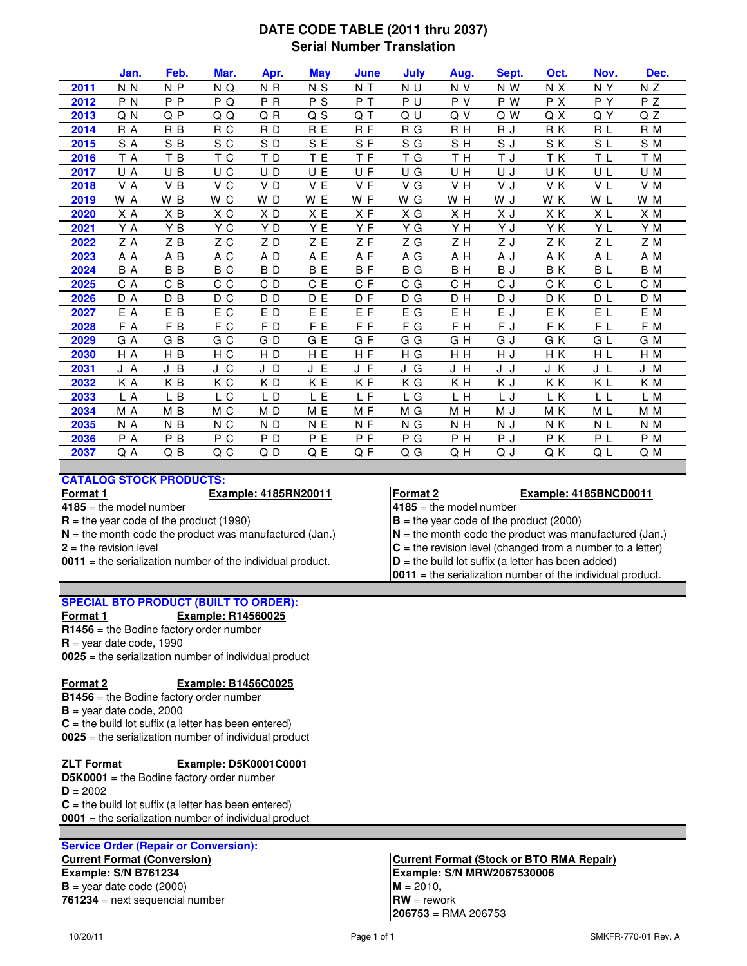## **DATE CODE TABLE (2011 thru 2037) Serial Number Translation**

|      | Jan.           | Feb.           | Mar. | Apr.           | <b>May</b> | June           | July | Aug. | Sept. | Oct. | Nov.           | Dec. |
|------|----------------|----------------|------|----------------|------------|----------------|------|------|-------|------|----------------|------|
| 2011 | N <sub>N</sub> | N <sub>P</sub> | N Q  | N <sub>R</sub> | N S        | N T            | N U  | N V  | N W   | N X  | N Y            | N Z  |
| 2012 | P <sub>N</sub> | P <sub>P</sub> | P Q  | P R            | P S        | PT             | P U  | P V  | P W   | P X  | P Y            | P Z  |
| 2013 | Q N            | Q P            | QQ   | QR             | Q S        | Q T            | Q U  | Q V  | Q W   | Q X  | QY             | Q Z  |
| 2014 | R A            | R <sub>B</sub> | R C  | RD             | R E        | R F            | R G  | R H  | R J   | RK   | R L            | R M  |
| 2015 | S A            | SB             | S C  | SD             | S E        | SF             | S G  | SH   | S J   | S K  | S L            | S M  |
| 2016 | T A            | T B            | T C  | TD             | T E        | T F            | T G  | T H  | T J   | ΤK   | T L            | T M  |
| 2017 | U A            | U B            | U C  | UD             | U E        | U F            | U G  | U H  | U J   | U K  | UL             | U M  |
| 2018 | V A            | V B            | V C  | VD             | V E        | VF             | V G  | V H  | V J   | V K  | V L            | V M  |
| 2019 | W A            | W B            | W C  | WD             | W E        | W F            | W G  | W H  | W J   | W K  | W L            | W M  |
| 2020 | ХA             | ХB             | ХC   | ХD             | X E        | X F            | ХG   | xн   | ΧJ    | ΧK   | ΧL             | X M  |
| 2021 | Y A            | Y B            | Y C  | Y D            | Y E        | YF             | Y G  | Y H  | Y J   | Y K  | Y L            | Y M  |
| 2022 | Z A            | ZB             | Z C  | ZD             | ΖE         | ΖF             | ΖG   | ZH   | Z J   | ΖK   | ΖL             | Z M  |
| 2023 | ΑA             | A B            | A C  | A D            | A E        | AF             | A G  | A H  | A J   | A K  | A L            | A M  |
| 2024 | B A            | B <sub>B</sub> | B C  | BD             | B E        | BF             | B G  | BH   | BJ    | BK   | BL             | B M  |
| 2025 | C A            | C B            | C C  | C D            | C E        | C F            | C G  | C H  | C J   | C K  | C L            | C M  |
| 2026 | D A            | D B            | D C  | D <sub>D</sub> | D E        | D F            | D G  | DH   | D J   | D K  | $D\ L$         | D M  |
| 2027 | E A            | E B            | E C  | ED             | E E        | E F            | E G  | E H  | E J   | ΕK   | E L            | E M  |
| 2028 | F A            | F B            | F C  | FD             | F E        | F <sub>F</sub> | F G  | F H  | F J   | FK   | F L            | F M  |
| 2029 | G A            | GB             | G C  | GD             | G E        | GF             | G G  | GH   | G J   | G K  | GL             | G M  |
| 2030 | H A            | H B            | H C  | H <sub>D</sub> | H E        | H F            | H G  | H H  | H J   | H K  | H L            | H M  |
| 2031 | JA             | J B            | J C  | JD             | J E        | J F            | J G  | J H  | J J   | J K  | JL             | J M  |
| 2032 | ΚA             | KB             | КC   | KD             | K E        | KF             | ΚG   | K H  | ΚJ    | ΚK   | ΚL             | K M  |
| 2033 | L A            | L B            | L C  | LD             | L E        | L F            | L G  | L H  | L J   | L K  | L L            | L M  |
| 2034 | M A            | M B            | M C  | MD             | M E        | MF             | M G  | M H  | M J   | M K  | M L            | M M  |
| 2035 | N A            | N <sub>B</sub> | N C  | N <sub>D</sub> | N E        | N F            | N G  | N H  | N J   | N K  | N L            | N M  |
| 2036 | P A            | P B            | P C  | P <sub>D</sub> | P E        | P F            | P G  | P H  | P J   | P K  | P <sub>L</sub> | P M  |
| 2037 | Q A            | Q B            | Q C  | QD             | Q E        | Q F            | Q G  | Q H  | Q J   | Q K  | QΓ             | Q M  |

## **CATALOG STOCK PRODUCTS:**

**4185** = the model number **4185** = the model number

**0011** = the serialization number of the individual product.  $\mathbf{D}$  = the build lot suffix (a letter has been added)

## **SPECIAL BTO PRODUCT (BUILT TO ORDER):**

## **Format 1 Example: R14560025**

**R1456** = the Bodine factory order number

**R** = year date code, 1990

**0025** = the serialization number of individual product

## **Format 2 Example: B1456C0025**

- **B1456** = the Bodine factory order number
- $B =$  year date code, 2000

 $C =$  the build lot suffix (a letter has been entered) **0025** = the serialization number of individual product

# **ZLT Format Example: D5K0001C0001**

**D5K0001** = the Bodine factory order number  $C =$  the build lot suffix (a letter has been entered) **0001** = the serialization number of individual product **D =** 2002

## **Service Order (Repair or Conversion):**

 $B = \text{year date code } (2000)$  **M** = 2010, **761234** = next sequencial number

## **Format 1 Example: 4185RN20011 Format 2 Example: 4185BNCD0011**

**R** = the year code of the product (1990)  $\vert$ **B** = the year code of the product (2000)

 $N =$  the month code the product was manufactured (Jan.)  $N =$  the month code the product was manufactured (Jan.)

 $2 =$  the revision level **C** = the revision level (changed from a number to a letter)

- 
- **0011** = the serialization number of the individual product.

# **Current Format (Conversion) Current Format (Stock or BTO RMA Repair) Example: S/N B761234 Example: S/N MRW2067530006**

**206753** = RMA 206753  $\mathbf{R}\mathbf{W} = \text{rework}$